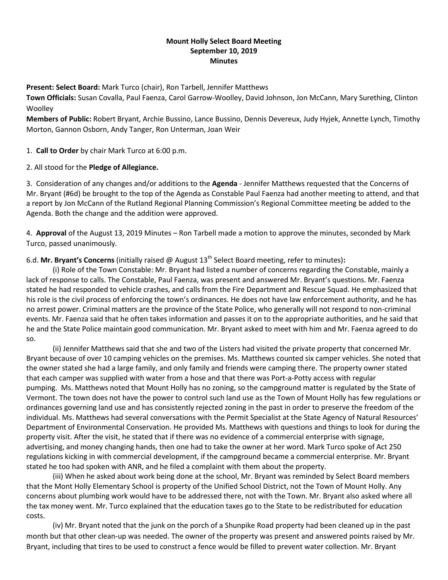# **Mount Holly Select Board Meeting September 10, 2019 Minutes**

**Present: Select Board:** Mark Turco (chair), Ron Tarbell, Jennifer Matthews

**Town Officials:** Susan Covalla, Paul Faenza, Carol Garrow-Woolley, David Johnson, Jon McCann, Mary Surething, Clinton **Woolley** 

**Members of Public:** Robert Bryant, Archie Bussino, Lance Bussino, Dennis Devereux, Judy Hyjek, Annette Lynch, Timothy Morton, Gannon Osborn, Andy Tanger, Ron Unterman, Joan Weir

1. **Call to Order** by chair Mark Turco at 6:00 p.m.

# 2. All stood for the **Pledge of Allegiance.**

3. Consideration of any changes and/or additions to the **Agenda** - Jennifer Matthews requested that the Concerns of Mr. Bryant (#6d) be brought to the top of the Agenda as Constable Paul Faenza had another meeting to attend, and that a report by Jon McCann of the Rutland Regional Planning Commission's Regional Committee meeting be added to the Agenda. Both the change and the addition were approved.

4. **Approval** of the August 13, 2019 Minutes – Ron Tarbell made a motion to approve the minutes, seconded by Mark Turco, passed unanimously.

# 6.d. **Mr. Bryant's Concerns** (initially raised @ August 13th Select Board meeting, refer to minutes)**:**

(i) Role of the Town Constable: Mr. Bryant had listed a number of concerns regarding the Constable, mainly a lack of response to calls. The Constable, Paul Faenza, was present and answered Mr. Bryant's questions. Mr. Faenza stated he had responded to vehicle crashes, and calls from the Fire Department and Rescue Squad. He emphasized that his role is the civil process of enforcing the town's ordinances. He does not have law enforcement authority, and he has no arrest power. Criminal matters are the province of the State Police, who generally will not respond to non-criminal events. Mr. Faenza said that he often takes information and passes it on to the appropriate authorities, and he said that he and the State Police maintain good communication. Mr. Bryant asked to meet with him and Mr. Faenza agreed to do so.

(ii) Jennifer Matthews said that she and two of the Listers had visited the private property that concerned Mr. Bryant because of over 10 camping vehicles on the premises. Ms. Matthews counted six camper vehicles. She noted that the owner stated she had a large family, and only family and friends were camping there. The property owner stated that each camper was supplied with water from a hose and that there was Port-a-Potty access with regular pumping. Ms. Matthews noted that Mount Holly has no zoning, so the campground matter is regulated by the State of Vermont. The town does not have the power to control such land use as the Town of Mount Holly has few regulations or ordinances governing land use and has consistently rejected zoning in the past in order to preserve the freedom of the individual. Ms. Matthews had several conversations with the Permit Specialist at the State Agency of Natural Resources' Department of Environmental Conservation. He provided Ms. Matthews with questions and things to look for during the property visit. After the visit, he stated that if there was no evidence of a commercial enterprise with signage, advertising, and money changing hands, then one had to take the owner at her word. Mark Turco spoke of Act 250 regulations kicking in with commercial development, if the campground became a commercial enterprise. Mr. Bryant stated he too had spoken with ANR, and he filed a complaint with them about the property.

(iii) When he asked about work being done at the school, Mr. Bryant was reminded by Select Board members that the Mont Holly Elementary School is property of the Unified School District, not the Town of Mount Holly. Any concerns about plumbing work would have to be addressed there, not with the Town. Mr. Bryant also asked where all the tax money went. Mr. Turco explained that the education taxes go to the State to be redistributed for education costs.

(iv) Mr. Bryant noted that the junk on the porch of a Shunpike Road property had been cleaned up in the past month but that other clean-up was needed. The owner of the property was present and answered points raised by Mr. Bryant, including that tires to be used to construct a fence would be filled to prevent water collection. Mr. Bryant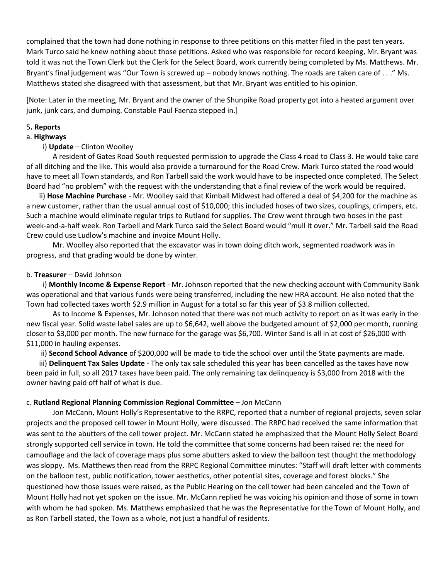complained that the town had done nothing in response to three petitions on this matter filed in the past ten years. Mark Turco said he knew nothing about those petitions. Asked who was responsible for record keeping, Mr. Bryant was told it was not the Town Clerk but the Clerk for the Select Board, work currently being completed by Ms. Matthews. Mr. Bryant's final judgement was "Our Town is screwed up – nobody knows nothing. The roads are taken care of . . ." Ms. Matthews stated she disagreed with that assessment, but that Mr. Bryant was entitled to his opinion.

[Note: Later in the meeting, Mr. Bryant and the owner of the Shunpike Road property got into a heated argument over junk, junk cars, and dumping. Constable Paul Faenza stepped in.]

#### 5**. Reports**

# a. **Highways**

## i) **Update** – Clinton Woolley

A resident of Gates Road South requested permission to upgrade the Class 4 road to Class 3. He would take care of all ditching and the like. This would also provide a turnaround for the Road Crew. Mark Turco stated the road would have to meet all Town standards, and Ron Tarbell said the work would have to be inspected once completed. The Select Board had "no problem" with the request with the understanding that a final review of the work would be required.

 ii) **Hose Machine Purchase** - Mr. Woolley said that Kimball Midwest had offered a deal of \$4,200 for the machine as a new customer, rather than the usual annual cost of \$10,000; this included hoses of two sizes, couplings, crimpers, etc. Such a machine would eliminate regular trips to Rutland for supplies. The Crew went through two hoses in the past week-and-a-half week. Ron Tarbell and Mark Turco said the Select Board would "mull it over." Mr. Tarbell said the Road Crew could use Ludlow's machine and invoice Mount Holly.

Mr. Woolley also reported that the excavator was in town doing ditch work, segmented roadwork was in progress, and that grading would be done by winter.

#### b. **Treasurer** – David Johnson

 i) **Monthly Income & Expense Report** - Mr. Johnson reported that the new checking account with Community Bank was operational and that various funds were being transferred, including the new HRA account. He also noted that the Town had collected taxes worth \$2.9 million in August for a total so far this year of \$3.8 million collected.

As to Income & Expenses, Mr. Johnson noted that there was not much activity to report on as it was early in the new fiscal year. Solid waste label sales are up to \$6,642, well above the budgeted amount of \$2,000 per month, running closer to \$3,000 per month. The new furnace for the garage was \$6,700. Winter Sand is all in at cost of \$26,000 with \$11,000 in hauling expenses.

ii) **Second School Advance** of \$200,000 will be made to tide the school over until the State payments are made.

 iii) **Delinquent Tax Sales Update** - The only tax sale scheduled this year has been cancelled as the taxes have now been paid in full, so all 2017 taxes have been paid. The only remaining tax delinquency is \$3,000 from 2018 with the owner having paid off half of what is due.

## c. **Rutland Regional Planning Commission Regional Committee** – Jon McCann

Jon McCann, Mount Holly's Representative to the RRPC, reported that a number of regional projects, seven solar projects and the proposed cell tower in Mount Holly, were discussed. The RRPC had received the same information that was sent to the abutters of the cell tower project. Mr. McCann stated he emphasized that the Mount Holly Select Board strongly supported cell service in town. He told the committee that some concerns had been raised re: the need for camouflage and the lack of coverage maps plus some abutters asked to view the balloon test thought the methodology was sloppy. Ms. Matthews then read from the RRPC Regional Committee minutes: "Staff will draft letter with comments on the balloon test, public notification, tower aesthetics, other potential sites, coverage and forest blocks." She questioned how those issues were raised, as the Public Hearing on the cell tower had been canceled and the Town of Mount Holly had not yet spoken on the issue. Mr. McCann replied he was voicing his opinion and those of some in town with whom he had spoken. Ms. Matthews emphasized that he was the Representative for the Town of Mount Holly, and as Ron Tarbell stated, the Town as a whole, not just a handful of residents.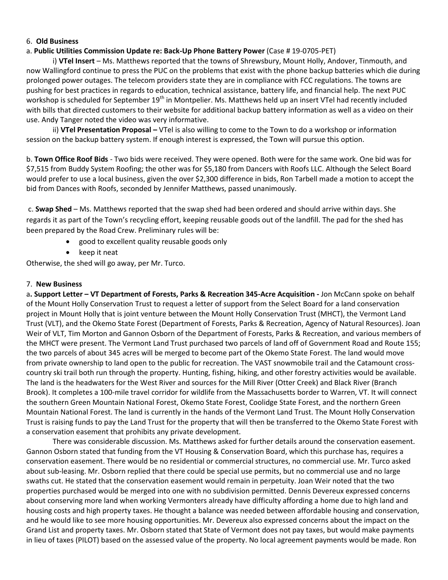#### 6. **Old Business**

#### a. **Public Utilities Commission Update re: Back-Up Phone Battery Power** (Case # 19-0705-PET)

i) **VTel Insert** – Ms. Matthews reported that the towns of Shrewsbury, Mount Holly, Andover, Tinmouth, and now Wallingford continue to press the PUC on the problems that exist with the phone backup batteries which die during prolonged power outages. The telecom providers state they are in compliance with FCC regulations. The towns are pushing for best practices in regards to education, technical assistance, battery life, and financial help. The next PUC workshop is scheduled for September 19<sup>th</sup> in Montpelier. Ms. Matthews held up an insert VTel had recently included with bills that directed customers to their website for additional backup battery information as well as a video on their use. Andy Tanger noted the video was very informative.

ii) **VTel Presentation Proposal –** VTel is also willing to come to the Town to do a workshop or information session on the backup battery system. If enough interest is expressed, the Town will pursue this option.

b. **Town Office Roof Bids** - Two bids were received. They were opened. Both were for the same work. One bid was for \$7,515 from Buddy System Roofing; the other was for \$5,180 from Dancers with Roofs LLC. Although the Select Board would prefer to use a local business, given the over \$2,300 difference in bids, Ron Tarbell made a motion to accept the bid from Dances with Roofs, seconded by Jennifer Matthews, passed unanimously.

c. **Swap Shed** – Ms. Matthews reported that the swap shed had been ordered and should arrive within days. She regards it as part of the Town's recycling effort, keeping reusable goods out of the landfill. The pad for the shed has been prepared by the Road Crew. Preliminary rules will be:

- good to excellent quality reusable goods only
- keep it neat

Otherwise, the shed will go away, per Mr. Turco.

#### 7. **New Business**

a**. Support Letter – VT Department of Forests, Parks & Recreation 345-Acre Acquisition -** Jon McCann spoke on behalf of the Mount Holly Conservation Trust to request a letter of support from the Select Board for a land conservation project in Mount Holly that is joint venture between the Mount Holly Conservation Trust (MHCT), the Vermont Land Trust (VLT), and the Okemo State Forest (Department of Forests, Parks & Recreation, Agency of Natural Resources). Joan Weir of VLT, Tim Morton and Gannon Osborn of the Department of Forests, Parks & Recreation, and various members of the MHCT were present. The Vermont Land Trust purchased two parcels of land off of Government Road and Route 155; the two parcels of about 345 acres will be merged to become part of the Okemo State Forest. The land would move from private ownership to land open to the public for recreation. The VAST snowmobile trail and the Catamount crosscountry ski trail both run through the property. Hunting, fishing, hiking, and other forestry activities would be available. The land is the headwaters for the West River and sources for the Mill River (Otter Creek) and Black River (Branch Brook). It completes a 100-mile travel corridor for wildlife from the Massachusetts border to Warren, VT. It will connect the southern Green Mountain National Forest, Okemo State Forest, Coolidge State Forest, and the northern Green Mountain National Forest. The land is currently in the hands of the Vermont Land Trust. The Mount Holly Conservation Trust is raising funds to pay the Land Trust for the property that will then be transferred to the Okemo State Forest with a conservation easement that prohibits any private development.

There was considerable discussion. Ms. Matthews asked for further details around the conservation easement. Gannon Osborn stated that funding from the VT Housing & Conservation Board, which this purchase has, requires a conservation easement. There would be no residential or commercial structures, no commercial use. Mr. Turco asked about sub-leasing. Mr. Osborn replied that there could be special use permits, but no commercial use and no large swaths cut. He stated that the conservation easement would remain in perpetuity. Joan Weir noted that the two properties purchased would be merged into one with no subdivision permitted. Dennis Devereux expressed concerns about conserving more land when working Vermonters already have difficulty affording a home due to high land and housing costs and high property taxes. He thought a balance was needed between affordable housing and conservation, and he would like to see more housing opportunities. Mr. Devereux also expressed concerns about the impact on the Grand List and property taxes. Mr. Osborn stated that State of Vermont does not pay taxes, but would make payments in lieu of taxes (PILOT) based on the assessed value of the property. No local agreement payments would be made. Ron